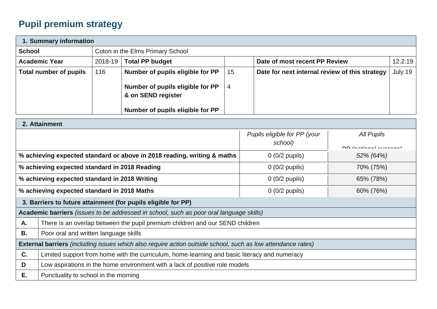## **Pupil premium strategy**

| 1. Summary information                                 |             |                                  |    |                                                |         |  |  |  |  |
|--------------------------------------------------------|-------------|----------------------------------|----|------------------------------------------------|---------|--|--|--|--|
| <b>School</b>                                          |             | Coton in the Elms Primary School |    |                                                |         |  |  |  |  |
| <b>Academic Year</b>                                   | $2018 - 19$ | <b>Total PP budget</b>           |    | Date of most recent PP Review                  | 12.2.19 |  |  |  |  |
| <b>Total number of pupils</b>                          | 116         | Number of pupils eligible for PP | 15 | Date for next internal review of this strategy | July 19 |  |  |  |  |
| Number of pupils eligible for PP<br>& on SEND register |             | 4                                |    |                                                |         |  |  |  |  |
|                                                        |             | Number of pupils eligible for PP |    |                                                |         |  |  |  |  |

|    | 2. Attainment                                                                                                      |                              |                               |  |  |  |  |
|----|--------------------------------------------------------------------------------------------------------------------|------------------------------|-------------------------------|--|--|--|--|
|    |                                                                                                                    | Pupils eligible for PP (your | All Pupils                    |  |  |  |  |
|    |                                                                                                                    | school)                      |                               |  |  |  |  |
|    |                                                                                                                    |                              | DD <i>Instianal</i> Augusta 1 |  |  |  |  |
|    | % achieving expected standard or above in 2018 reading, writing & maths                                            | $0$ (0/2 pupils)             | 52% (64%)                     |  |  |  |  |
|    | % achieving expected standard in 2018 Reading                                                                      | $0$ (0/2 pupils)             | 70% (75%)                     |  |  |  |  |
|    | % achieving expected standard in 2018 Writing                                                                      | $0$ (0/2 pupils)             | 65% (78%)                     |  |  |  |  |
|    | % achieving expected standard in 2018 Maths<br>$0$ (0/2 pupils)<br>60% (76%)                                       |                              |                               |  |  |  |  |
|    | 3. Barriers to future attainment (for pupils eligible for PP)                                                      |                              |                               |  |  |  |  |
|    | <b>Academic barriers</b> (issues to be addressed in school, such as poor oral language skills)                     |                              |                               |  |  |  |  |
| A. | There is an overlap between the pupil premium children and our SEND children                                       |                              |                               |  |  |  |  |
| В. | Poor oral and written language skills                                                                              |                              |                               |  |  |  |  |
|    | <b>External barriers</b> (including issues which also require action outside school, such as low attendance rates) |                              |                               |  |  |  |  |
| C. | Limited support from home with the curriculum, home-learning and basic literacy and numeracy                       |                              |                               |  |  |  |  |
| D  | Low aspirations in the home environment with a lack of positive role models                                        |                              |                               |  |  |  |  |
| Е. | Punctuality to school in the morning                                                                               |                              |                               |  |  |  |  |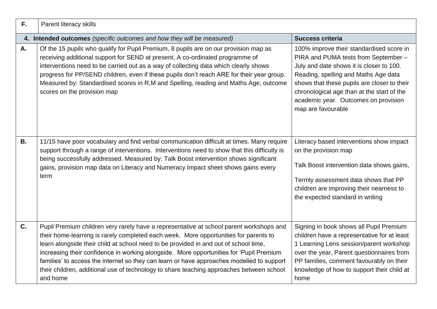| F.        | Parent literacy skills                                                                                                                                                                                                                                                                                                                                                                                                                                                                                                                                                  |                                                                                                                                                                                                                                                                                                                                 |
|-----------|-------------------------------------------------------------------------------------------------------------------------------------------------------------------------------------------------------------------------------------------------------------------------------------------------------------------------------------------------------------------------------------------------------------------------------------------------------------------------------------------------------------------------------------------------------------------------|---------------------------------------------------------------------------------------------------------------------------------------------------------------------------------------------------------------------------------------------------------------------------------------------------------------------------------|
|           | 4. Intended outcomes (specific outcomes and how they will be measured)                                                                                                                                                                                                                                                                                                                                                                                                                                                                                                  | <b>Success criteria</b>                                                                                                                                                                                                                                                                                                         |
| A.        | Of the 15 pupils who qualify for Pupil Premium, 8 pupils are on our provision map as<br>receiving additional support for SEND at present. A co-ordinated programme of<br>interventions need to be carried out as a way of collecting data which clearly shows<br>progress for PP/SEND children, even if these pupils don't reach ARE for their year group.<br>Measured by: Standardised scores in R,M and Spelling, reading and Maths Age, outcome<br>scores on the provision map                                                                                       | 100% improve their standardised score in<br>PIRA and PUMA tests from September -<br>July and date shows it is closer to 100.<br>Reading, spelling and Maths Age data<br>shows that these pupils are closer to their<br>chronological age than at the start of the<br>academic year. Outcomes on provision<br>map are favourable |
| <b>B.</b> | 11/15 have poor vocabulary and find verbal communication difficult at times. Many require<br>support through a range of interventions. Interventions need to show that this difficulty is<br>being successfully addressed. Measured by: Talk Boost intervention shows significant<br>gains, provision map data on Literacy and Numeracy Impact sheet shows gains every<br>term                                                                                                                                                                                          | Literacy based interventions show impact<br>on the provision map<br>Talk Boost intervention data shows gains,<br>Termly assessment data shows that PP<br>children are improving their nearness to<br>the expected standard in writing                                                                                           |
| C.        | Pupil Premium children very rarely have a representative at school parent workshops and<br>their home-learning is rarely completed each week. More opportunities for parents to<br>learn alongside their child at school need to be provided in and out of school time,<br>increasing their confidence in working alongside. More opportunities for 'Pupil Premium<br>families' to access the internet so they can learn or have approaches modelled to support<br>their children, additional use of technology to share teaching approaches between school<br>and home | Signing in book shows all Pupil Premium<br>children have a representative for at least<br>1 Learning Lens session/parent workshop<br>over the year, Parent questionnaires from<br>PP families, comment favourably on their<br>knowledge of how to support their child at<br>home                                                |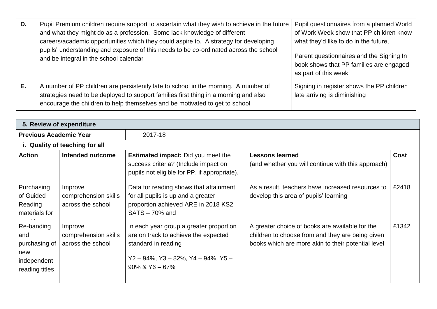| D. | Pupil Premium children require support to ascertain what they wish to achieve in the future<br>and what they might do as a profession. Some lack knowledge of different<br>careers/academic opportunities which they could aspire to. A strategy for developing<br>pupils' understanding and exposure of this needs to be co-ordinated across the school<br>and be integral in the school calendar | Pupil questionnaires from a planned World<br>of Work Week show that PP children know<br>what they'd like to do in the future,<br>Parent questionnaires and the Signing In<br>book shows that PP families are engaged<br>as part of this week |
|----|----------------------------------------------------------------------------------------------------------------------------------------------------------------------------------------------------------------------------------------------------------------------------------------------------------------------------------------------------------------------------------------------------|----------------------------------------------------------------------------------------------------------------------------------------------------------------------------------------------------------------------------------------------|
| Е. | A number of PP children are persistently late to school in the morning. A number of<br>strategies need to be deployed to support families first thing in a morning and also<br>encourage the children to help themselves and be motivated to get to school                                                                                                                                         | Signing in register shows the PP children<br>late arriving is diminishing                                                                                                                                                                    |

| 5. Review of expenditure                                                   |                                                      |                                                                                                                                                                                 |                                                                                                                                                           |             |  |  |
|----------------------------------------------------------------------------|------------------------------------------------------|---------------------------------------------------------------------------------------------------------------------------------------------------------------------------------|-----------------------------------------------------------------------------------------------------------------------------------------------------------|-------------|--|--|
| <b>Previous Academic Year</b>                                              |                                                      | 2017-18                                                                                                                                                                         |                                                                                                                                                           |             |  |  |
|                                                                            | i. Quality of teaching for all                       |                                                                                                                                                                                 |                                                                                                                                                           |             |  |  |
| <b>Action</b>                                                              | Intended outcome                                     | <b>Estimated impact:</b> Did you meet the<br>success criteria? (Include impact on<br>pupils not eligible for PP, if appropriate).                                               | <b>Lessons learned</b><br>(and whether you will continue with this approach)                                                                              | <b>Cost</b> |  |  |
| Purchasing<br>of Guided<br>Reading<br>materials for                        | Improve<br>comprehension skills<br>across the school | Data for reading shows that attainment<br>for all pupils is up and a greater<br>proportion achieved ARE in 2018 KS2<br>$SATS - 70%$ and                                         | As a result, teachers have increased resources to<br>develop this area of pupils' learning                                                                | £2418       |  |  |
| Re-banding<br>and<br>purchasing of<br>new<br>independent<br>reading titles | Improve<br>comprehension skills<br>across the school | In each year group a greater proportion<br>are on track to achieve the expected<br>standard in reading<br>$Y2 - 94\%$ , $Y3 - 82\%$ , $Y4 - 94\%$ , $Y5 -$<br>$90\%$ & Y6 - 67% | A greater choice of books are available for the<br>children to choose from and they are being given<br>books which are more akin to their potential level | £1342       |  |  |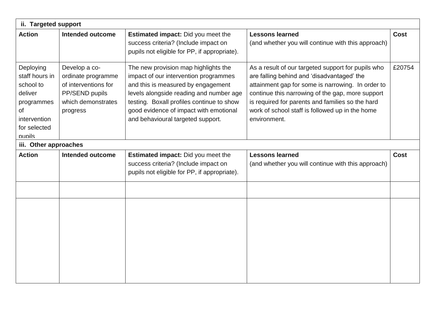| ii. Targeted support                                                                                                     |                                                                                                                 |                                                                                                                                                                                                                                                                                            |                                                                                                                                                                                                                                                                                                                                  |             |  |  |  |  |
|--------------------------------------------------------------------------------------------------------------------------|-----------------------------------------------------------------------------------------------------------------|--------------------------------------------------------------------------------------------------------------------------------------------------------------------------------------------------------------------------------------------------------------------------------------------|----------------------------------------------------------------------------------------------------------------------------------------------------------------------------------------------------------------------------------------------------------------------------------------------------------------------------------|-------------|--|--|--|--|
| <b>Action</b>                                                                                                            | <b>Intended outcome</b>                                                                                         | Estimated impact: Did you meet the<br>success criteria? (Include impact on<br>pupils not eligible for PP, if appropriate).                                                                                                                                                                 | <b>Lessons learned</b><br>(and whether you will continue with this approach)                                                                                                                                                                                                                                                     | <b>Cost</b> |  |  |  |  |
| Deploying<br>staff hours in<br>school to<br>deliver<br>programmes<br><b>of</b><br>intervention<br>for selected<br>pupils | Develop a co-<br>ordinate programme<br>of interventions for<br>PP/SEND pupils<br>which demonstrates<br>progress | The new provision map highlights the<br>impact of our intervention programmes<br>and this is measured by engagement<br>levels alongside reading and number age<br>testing. Boxall profiles continue to show<br>good evidence of impact with emotional<br>and behavioural targeted support. | As a result of our targeted support for pupils who<br>are falling behind and 'disadvantaged' the<br>attainment gap for some is narrowing. In order to<br>continue this narrowing of the gap, more support<br>is required for parents and families so the hard<br>work of school staff is followed up in the home<br>environment. | £20754      |  |  |  |  |
| iii. Other approaches                                                                                                    |                                                                                                                 |                                                                                                                                                                                                                                                                                            |                                                                                                                                                                                                                                                                                                                                  |             |  |  |  |  |
| <b>Action</b>                                                                                                            | <b>Intended outcome</b>                                                                                         | <b>Estimated impact:</b> Did you meet the<br>success criteria? (Include impact on<br>pupils not eligible for PP, if appropriate).                                                                                                                                                          | <b>Lessons learned</b><br>(and whether you will continue with this approach)                                                                                                                                                                                                                                                     | <b>Cost</b> |  |  |  |  |
|                                                                                                                          |                                                                                                                 |                                                                                                                                                                                                                                                                                            |                                                                                                                                                                                                                                                                                                                                  |             |  |  |  |  |
|                                                                                                                          |                                                                                                                 |                                                                                                                                                                                                                                                                                            |                                                                                                                                                                                                                                                                                                                                  |             |  |  |  |  |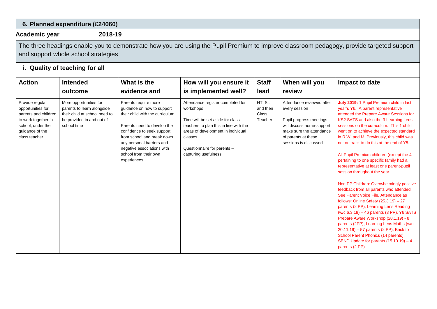| 6. Planned expenditure (£24060)                                                                                                              |                                                                                                                                                                                 |                                                             |                                                                                                                                                                                                                                                                                     |                                                                                                                                                                                                                                      |                                        |                                                                                                                                                                                 |                                                                                                                                                                                                                                                                                                                                                                                                                                                                                                                                                                                                                                                                                                                                                                                                                                                                                                                                                                                                                            |
|----------------------------------------------------------------------------------------------------------------------------------------------|---------------------------------------------------------------------------------------------------------------------------------------------------------------------------------|-------------------------------------------------------------|-------------------------------------------------------------------------------------------------------------------------------------------------------------------------------------------------------------------------------------------------------------------------------------|--------------------------------------------------------------------------------------------------------------------------------------------------------------------------------------------------------------------------------------|----------------------------------------|---------------------------------------------------------------------------------------------------------------------------------------------------------------------------------|----------------------------------------------------------------------------------------------------------------------------------------------------------------------------------------------------------------------------------------------------------------------------------------------------------------------------------------------------------------------------------------------------------------------------------------------------------------------------------------------------------------------------------------------------------------------------------------------------------------------------------------------------------------------------------------------------------------------------------------------------------------------------------------------------------------------------------------------------------------------------------------------------------------------------------------------------------------------------------------------------------------------------|
|                                                                                                                                              | 2018-19<br>Academic year                                                                                                                                                        |                                                             |                                                                                                                                                                                                                                                                                     |                                                                                                                                                                                                                                      |                                        |                                                                                                                                                                                 |                                                                                                                                                                                                                                                                                                                                                                                                                                                                                                                                                                                                                                                                                                                                                                                                                                                                                                                                                                                                                            |
|                                                                                                                                              | The three headings enable you to demonstrate how you are using the Pupil Premium to improve classroom pedagogy, provide targeted support<br>and support whole school strategies |                                                             |                                                                                                                                                                                                                                                                                     |                                                                                                                                                                                                                                      |                                        |                                                                                                                                                                                 |                                                                                                                                                                                                                                                                                                                                                                                                                                                                                                                                                                                                                                                                                                                                                                                                                                                                                                                                                                                                                            |
| i. Quality of teaching for all                                                                                                               |                                                                                                                                                                                 |                                                             |                                                                                                                                                                                                                                                                                     |                                                                                                                                                                                                                                      |                                        |                                                                                                                                                                                 |                                                                                                                                                                                                                                                                                                                                                                                                                                                                                                                                                                                                                                                                                                                                                                                                                                                                                                                                                                                                                            |
| <b>Action</b>                                                                                                                                | <b>Intended</b><br>outcome                                                                                                                                                      |                                                             | What is the<br>evidence and                                                                                                                                                                                                                                                         | How will you ensure it<br>is implemented well?                                                                                                                                                                                       | <b>Staff</b><br>lead                   | When will you<br>review                                                                                                                                                         | Impact to date                                                                                                                                                                                                                                                                                                                                                                                                                                                                                                                                                                                                                                                                                                                                                                                                                                                                                                                                                                                                             |
| Provide regular<br>opportunities for<br>parents and children<br>to work together in<br>school, under the<br>guidance of the<br>class teacher | More opportunities for<br>be provided in and out of<br>school time                                                                                                              | parents to learn alongside<br>their child at school need to | Parents require more<br>guidance on how to support<br>their child with the curriculum<br>Parents need to develop the<br>confidence to seek support<br>from school and break down<br>any personal barriers and<br>negative associations with<br>school from their own<br>experiences | Attendance register completed for<br>workshops<br>Time will be set aside for class<br>teachers to plan this in line with the<br>areas of development in individual<br>classes<br>Questionnaire for parents -<br>capturing usefulness | HT, SL<br>and then<br>Class<br>Teacher | Attendance reviewed after<br>every session<br>Pupil progress meetings<br>will discuss home-support,<br>make sure the attendance<br>of parents at these<br>sessions is discussed | July 2019: 1 Pupil Premium child in last<br>year's Y6. A parent representative<br>attended the Prepare Aware Sessions for<br>KS2 SATS and also the 3 Learning Lens<br>sessions on the curriculum. This 1 child<br>went on to achieve the expected standard<br>in R, W, and M. Previously, this child was<br>not on track to do this at the end of Y5.<br>All Pupil Premium children (except the 4<br>pertaining to one specific family had a<br>representative at least one parent-pupil<br>session throughout the year<br>Non PP Children: Overwhelmingly positive<br>feedback from all parents who attended.<br>See Parent Voice File, Attendance as<br>follows: Online Safety $(25.3.19) - 27$<br>parents (2 PP), Learning Lens Reading<br>(w/c 6.3.19) - 46 parents (3 PP), Y6 SATS<br>Prepare Aware Workshop (28.1.19) - 8<br>parents (2PP), Learning Lens Maths (w/c<br>$20.11.19$ ) - 57 parents (2 PP), Back to<br>School Parent Phonics (14 parents),<br>SEND Update for parents (15.10.19) - 4<br>parents (2 PP) |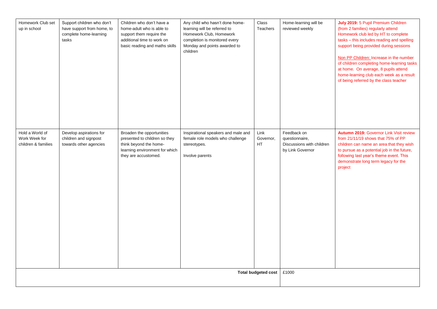| Homework Club set<br>up in school                       | Support children who don't<br>have support from home, to<br>complete home-learning<br>tasks | Children who don't have a<br>home-adult who is able to<br>support them require the<br>additional time to work on<br>basic reading and maths skills | Any child who hasn't done home-<br>learning will be referred to<br>Homework Club, Homework<br>completion is monitored every<br>Monday and points awarded to<br>children | Class<br>Teachers        | Home-learning will be<br>reviewed weekly                                       | July 2019: 5 Pupil Premium Children<br>(from 2 families) regularly attend<br>Homework club led by HT to complete<br>tasks - this includes reading and spelling<br>support being provided during sessions<br>Non PP Children: Increase in the number<br>of children completing home-learning tasks<br>at home. On average, 8 pupils attend<br>home-learning club each week as a result<br>of being referred by the class teacher |
|---------------------------------------------------------|---------------------------------------------------------------------------------------------|----------------------------------------------------------------------------------------------------------------------------------------------------|-------------------------------------------------------------------------------------------------------------------------------------------------------------------------|--------------------------|--------------------------------------------------------------------------------|---------------------------------------------------------------------------------------------------------------------------------------------------------------------------------------------------------------------------------------------------------------------------------------------------------------------------------------------------------------------------------------------------------------------------------|
| Hold a World of<br>Work Week for<br>children & families | Develop aspirations for<br>children and signpost<br>towards other agencies                  | Broaden the opportunities<br>presented to children so they<br>think beyond the home-<br>learning environment for which<br>they are accustomed.     | Inspirational speakers and male and<br>female role models who challenge<br>stereotypes.<br>Involve parents                                                              | Link<br>Governor,<br>HT. | Feedback on<br>questionnaire,<br>Discussions with children<br>by Link Governor | <b>Autumn 2019: Governor Link Visit review</b><br>from 21/11/19 shows that 75% of PP<br>children can name an area that they wish<br>to pursue as a potential job in the future,<br>following last year's theme event. This<br>demonstrate long term legacy for the<br>project                                                                                                                                                   |
| Total budgeted cost                                     |                                                                                             |                                                                                                                                                    |                                                                                                                                                                         |                          | £1000                                                                          |                                                                                                                                                                                                                                                                                                                                                                                                                                 |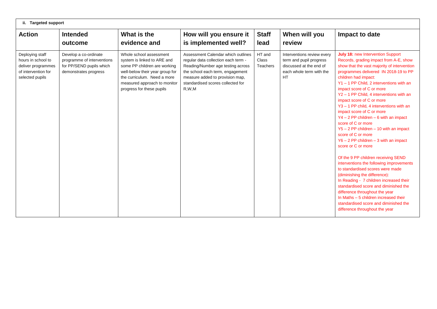| ii. Targeted support                                                                                  |                                                                                                          |                                                                                                                                                                                                                       |                                                                                                                                                                                                                                     |                                    |                                                                                                                           |                                                                                                                                                                                                                                                                                                                                                                                                                                                                                                                                                                                                                                                                                                                                                                                                                                                                                                                                                                                                                                          |  |
|-------------------------------------------------------------------------------------------------------|----------------------------------------------------------------------------------------------------------|-----------------------------------------------------------------------------------------------------------------------------------------------------------------------------------------------------------------------|-------------------------------------------------------------------------------------------------------------------------------------------------------------------------------------------------------------------------------------|------------------------------------|---------------------------------------------------------------------------------------------------------------------------|------------------------------------------------------------------------------------------------------------------------------------------------------------------------------------------------------------------------------------------------------------------------------------------------------------------------------------------------------------------------------------------------------------------------------------------------------------------------------------------------------------------------------------------------------------------------------------------------------------------------------------------------------------------------------------------------------------------------------------------------------------------------------------------------------------------------------------------------------------------------------------------------------------------------------------------------------------------------------------------------------------------------------------------|--|
| <b>Action</b>                                                                                         | <b>Intended</b><br>outcome                                                                               | What is the<br>evidence and                                                                                                                                                                                           | How will you ensure it<br>is implemented well?                                                                                                                                                                                      | <b>Staff</b><br>lead               | When will you<br>review                                                                                                   | Impact to date                                                                                                                                                                                                                                                                                                                                                                                                                                                                                                                                                                                                                                                                                                                                                                                                                                                                                                                                                                                                                           |  |
| Deploying staff<br>hours in school to<br>deliver programmes<br>of intervention for<br>selected pupils | Develop a co-ordinate<br>programme of interventions<br>for PP/SEND pupils which<br>demonstrates progress | Whole school assessment<br>system is linked to ARE and<br>some PP children are working<br>well-below their year group for<br>the curriculum. Need a more<br>measured approach to monitor<br>progress for these pupils | Assessment Calendar which outlines<br>regular data collection each term -<br>Reading/Number age testing across<br>the school each term, engagement<br>measure added to provision map,<br>standardised scores collected for<br>R.W.M | HT and<br>Class<br><b>Teachers</b> | Interventions review every<br>term and pupil progress<br>discussed at the end of<br>each whole term with the<br><b>HT</b> | <b>July 18: new Intervention Support</b><br>Records, grading impact from A-E, show<br>show that the vast majority of intervention<br>programmes delivered IN 2018-19 to PP<br>children had impact:<br>Y1 - 1 PP Child. 2 interventions with an<br>impact score of C or more<br>Y2 - 1 PP Child. 4 interventions with an<br>impact score of C or more<br>Y3 - 1 PP child, 4 interventions with an<br>impact score of C or more<br>$Y4 - 2 PP$ children $- 6$ with an impact<br>score of C or more<br>$Y5 - 2 PP$ children $- 10$ with an impact<br>score of C or more<br>$Y6 - 2 PP$ children $-3$ with an impact<br>score or C or more<br>Of the 9 PP children receiving SEND<br>interventions the following improvements<br>to standardised scores were made<br>(diminishing the difference):<br>In Reading - 7 children increased their<br>standardised score and diminished the<br>difference throughout the year<br>In Maths - 5 children increased their<br>standardised score and diminished the<br>difference throughout the year |  |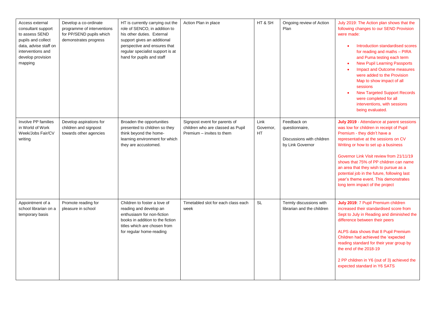| Access external<br>consultant support<br>to assess SEND<br>pupils and collect<br>data, advise staff on<br>interventions and<br>develop provision<br>mapping | Develop a co-ordinate<br>programme of interventions<br>for PP/SEND pupils which<br>demonstrates progress | HT is currently carrying out the<br>role of SENCO, in addition to<br>his other duties. External<br>support gives an additional<br>perspective and ensures that<br>regular specialist support is at<br>hand for pupils and staff | Action Plan in place                                                                            | HT & SH                        | Ongoing review of Action<br>Plan                                               | July 2019: The Action plan shows that the<br>following changes to our SEND Provision<br>were made:<br>Introduction standardised scores<br>for reading and maths - PIRA<br>and Puma testing each term<br><b>New Pupil Learning Passports</b><br>$\bullet$<br>Impact and Outcome measures<br>$\bullet$<br>were added to the Provision<br>Map to show impact of all<br>sessions<br><b>New Targeted Support Records</b><br>were completed for all<br>interventions, with sessions<br>being evaluated. |
|-------------------------------------------------------------------------------------------------------------------------------------------------------------|----------------------------------------------------------------------------------------------------------|---------------------------------------------------------------------------------------------------------------------------------------------------------------------------------------------------------------------------------|-------------------------------------------------------------------------------------------------|--------------------------------|--------------------------------------------------------------------------------|---------------------------------------------------------------------------------------------------------------------------------------------------------------------------------------------------------------------------------------------------------------------------------------------------------------------------------------------------------------------------------------------------------------------------------------------------------------------------------------------------|
| Involve PP families<br>in World of Work<br>Week/Jobs Fair/CV<br>writing                                                                                     | Develop aspirations for<br>children and signpost<br>towards other agencies                               | Broaden the opportunities<br>presented to children so they<br>think beyond the home-<br>learning environment for which<br>they are accustomed.                                                                                  | Signpost event for parents of<br>children who are classed as Pupil<br>Premium - invites to them | Link<br>Governor,<br><b>HT</b> | Feedback on<br>questionnaire,<br>Discussions with children<br>by Link Governor | July 2019 - Attendance at parent sessions<br>was low for children in receipt of Pupil<br>Premium - they didn't have a<br>representative at the sessions on CV<br>Writing or how to set up a business<br>Governor Link Visit review from 21/11/19<br>shows that 75% of PP children can name<br>an area that they wish to pursue as a<br>potential job in the future, following last<br>year's theme event. This demonstrates<br>long term impact of the project                                    |
| Appointment of a<br>school librarian on a<br>temporary basis                                                                                                | Promote reading for<br>pleasure in school                                                                | Children to foster a love of<br>reading and develop an<br>enthusiasm for non-fiction<br>books in addition to the fiction<br>titles which are chosen from<br>for regular home-reading                                            | Timetabled slot for each class each<br>week                                                     | SL                             | Termly discussions with<br>librarian and the children                          | July 2019: 7 Pupil Premium children<br>increased their standardised score from<br>Sept to July in Reading and diminished the<br>difference between their peers<br>ALPS data shows that 8 Pupil Premium<br>Children had achieved the 'expected<br>reading standard for their year group by<br>the end of the 2018-19<br>2 PP children in Y6 (out of 3) achieved the<br>expected standard in Y6 SATS                                                                                                |